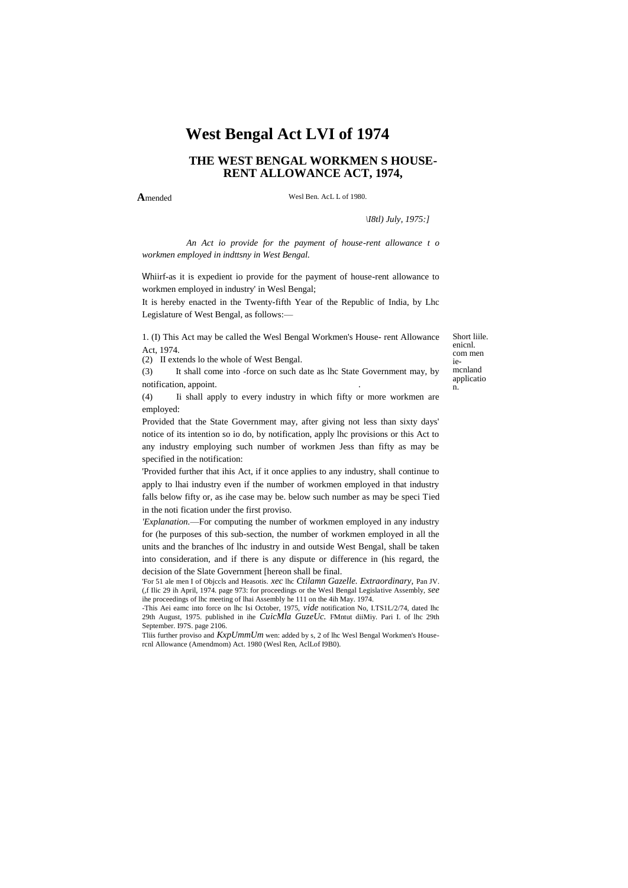# **West Bengal Act LVI of 1974**

# **THE WEST BENGAL WORKMEN S HOUSE-RENT ALLOWANCE ACT, 1974,**

**A**mended

Wesl Ben. AcL L of 1980.

*\I8tl) July, 1975:]*

*An Act io provide for the payment of house-rent allowance t o workmen employed in indttsny in West Bengal.*

Whiirf-as it is expedient io provide for the payment of house-rent allowance to workmen employed in industry' in Wesl Bengal;

It is hereby enacted in the Twenty-fifth Year of the Republic of India, by Lhc Legislature of West Bengal, as follows:—

1. (I) This Act may be called the Wesl Bengal Workmen's House- rent Allowance Act, 1974.

(2) II extends lo the whole of West Bengal.

(3) It shall come into -force on such date as lhc State Government may, by notification, appoint. .

(4) Ii shall apply to every industry in which fifty or more workmen are employed:

Provided that the State Government may, after giving not less than sixty days' notice of its intention so io do, by notification, apply lhc provisions or this Act to any industry employing such number of workmen Jess than fifty as may be specified in the notification:

'Provided further that ihis Act, if it once applies to any industry, shall continue to apply to lhai industry even if the number of workmen employed in that industry falls below fifty or, as ihe case may be. below such number as may be speci Tied in the noti fication under the first proviso.

*'Explanation.*—For computing the number of workmen employed in any industry for (he purposes of this sub-section, the number of workmen employed in all the units and the branches of lhc industry in and outside West Bengal, shall be taken into consideration, and if there is any dispute or difference in (his regard, the decision of the Slate Government [hereon shall be final.

'For 51 ale men I of Objccls and Heasotis. *xec* lhc *Ctilamn Gazelle. Extraordinary,* Pan JV. (,f Ilic 29 ih April, 1974. page 973: for proceedings or the Wesl Bengal Legislative Assembly, *see* ihe proceedings of lhc meeting of lhai Assembly he 111 on the 4ih May. 1974.

-This Aei eamc into force on lhc Isi October, 1975, *vide* notification No, I.TS1L/2/74, dated lhc 29th August, 1975. published in ihe *CuicMla GuzeUc.* FMntut diiMiy. Pari I. of lhc 29th September. I97S. page 2106.

Tliis further proviso and *KxpUmmUm* wen: added by s, 2 of lhc Wesl Bengal Workmen's Housercnl Allowance (Amendmom) Act. 1980 (Wesl Ren, AclLof I9B0).

Short liile. enicnl. com men iemcnland applicatio n.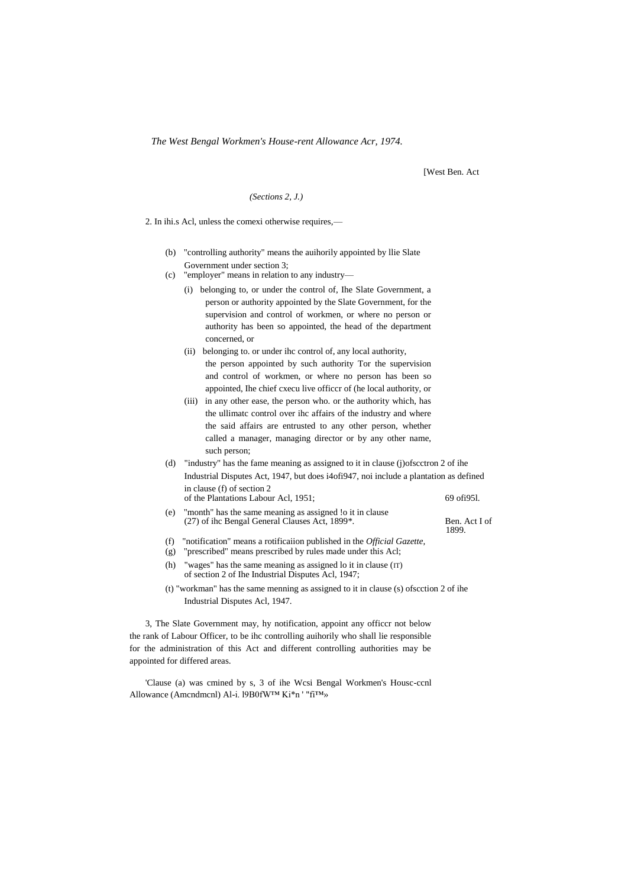*The West Bengal Workmen's House-rent Allowance Acr, 1974.*

[West Ben. Act

1899.

#### *(Sections 2, J.)*

2. In ihi.s Acl, unless the comexi otherwise requires,—

- (b) "controlling authority" means the auihorily appointed by llie Slate Government under section 3;
- (c) "employer" means in relation to any industry—
	- (i) belonging to, or under the control of, Ihe Slate Government, a person or authority appointed by the Slate Government, for the supervision and control of workmen, or where no person or authority has been so appointed, the head of the department concerned, or
	- (ii) belonging to. or under ihc control of, any local authority, the person appointed by such authority Tor the supervision and control of workmen, or where no person has been so appointed, Ihe chief cxecu live officcr of (he local authority, or
	- (iii) in any other ease, the person who. or the authority which, has the ullimatc control over ihc affairs of the industry and where the said affairs are entrusted to any other person, whether called a manager, managing director or by any other name, such person;
- (d) "industry" has the fame meaning as assigned to it in clause (j)ofscctron 2 of ihe Industrial Disputes Act, 1947, but does i4ofi947, noi include a plantation as defined in clause (f) of section 2 of the Plantations Labour Acl, 1951; 69 ofi95l.
- (e) "month" has the same meaning as assigned !o it in clause (27) of ihc Bengal General Clauses Act, 1899\*. Ben. Act I of
- (f) "notification" means a rotificaiion published in the *Official Gazette,*
- (g) "prescribed" means prescribed by rules made under this Acl;
- (h) "wages" has the same meaning as assigned lo it in clause  $(T)$ of section 2 of Ihe Industrial Disputes Acl, 1947;
- (t) "workman" has the same menning as assigned to it in clause (s) ofscction 2 of ihe Industrial Disputes Acl, 1947.

3, The Slate Government may, hy notification, appoint any officcr not below the rank of Labour Officer, to be ihc controlling auihorily who shall lie responsible for the administration of this Act and different controlling authorities may be appointed for differed areas.

'Clause (a) was cmined by s, 3 of ihe Wcsi Bengal Workmen's Housc-ccnl Allowance (Amcndmcnl) Al-i. l9B0fW™ Ki\*n ' "fi™»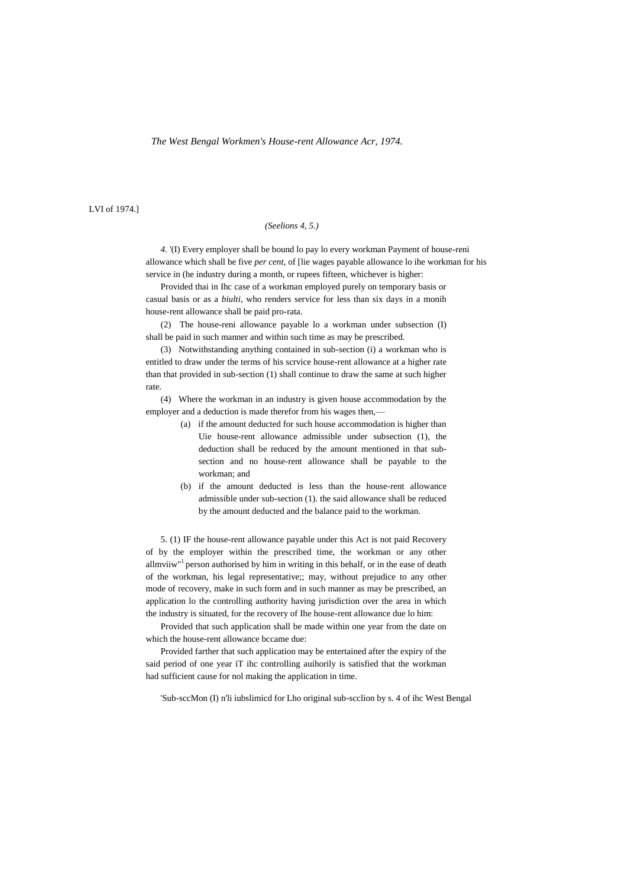#### *The West Bengal Workmen's House-rent Allowance Acr, 1974.*

LVI of 1974.]

## *(Seelions 4, 5.)*

*4.* '(I) Every employer shall be bound lo pay lo every workman Payment of house-reni allowance which shall be five *per cent,* of [lie wages payable allowance lo ihe workman for his service in (he industry during a month, or rupees fifteen, whichever is higher:

Provided thai in Ihc case of a workman employed purely on temporary basis or casual basis or as a *biulti,* who renders service for less than six days in a monih house-rent allowance shall be paid pro-rata.

(2) The house-reni allowance payable lo a workman under subsection (I) shall be paid in such manner and within such time as may be prescribed.

(3) Notwithstanding anything contained in sub-section (i) a workman who is entitled to draw under the terms of his scrvice house-rent allowance at a higher rate than that provided in sub-section (1) shall continue to draw the same at such higher rate.

(4) Where the workman in an industry is given house accommodation by the employer and a deduction is made therefor from his wages then,-

- (a) if the amount deducted for such house accommodation is higher than Uie house-rent allowance admissible under subsection (1), the deduction shall be reduced by the amount mentioned in that subsection and no house-rent allowance shall be payable to the workman; and
- (b) if the amount deducted is less than the house-rent allowance admissible under sub-section (1). the said allowance shall be reduced by the amount deducted and the balance paid to the workman.

5. (1) IF the house-rent allowance payable under this Act is not paid Recovery of by the employer within the prescribed time, the workman or any other allmviiw"<sup>1</sup> person authorised by him in writing in this behalf, or in the ease of death of the workman, his legal representative;; may, without prejudice to any other mode of recovery, make in such form and in such manner as may be prescribed, an application lo the controlling authority having jurisdiction over the area in which the industry is situated, for the recovery of Ihe house-rent allowance due lo him:

Provided that such application shall be made within one year from the date on which the house-rent allowance bccame due:

Provided farther that such application may be entertained after the expiry of the said period of one year iT ihc controlling auihorily is satisfied that the workman had sufficient cause for nol making the application in time.

'Sub-sccMon (I) n'li iubslimicd for Lho original sub-scclion by s. 4 of ihc West Bengal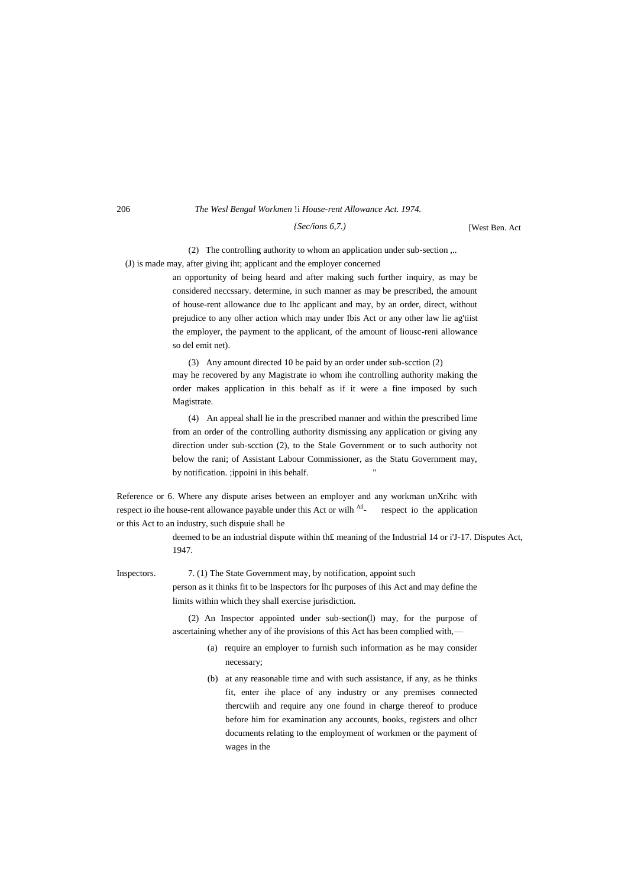#### 206 *The Wesl Bengal Workmen* !i *House-rent Allowance Act. 1974.*

*{Sec/ions 6,7.)*

[West Ben. Act

(2) The controlling authority to whom an application under sub-section ,..

(J) is made may, after giving iht; applicant and the employer concerned

an opportunity of being heard and after making such further inquiry, as may be considered neccssary. determine, in such manner as may be prescribed, the amount of house-rent allowance due to lhc applicant and may, by an order, direct, without prejudice to any olher action which may under Ibis Act or any other law lie ag'tiist the employer, the payment to the applicant, of the amount of liousc-reni allowance so del emit net).

(3) Any amount directed 10 be paid by an order under sub-scction (2) may he recovered by any Magistrate io whom ihe controlling authority making the order makes application in this behalf as if it were a fine imposed by such Magistrate.

(4) An appeal shall lie in the prescribed manner and within the prescribed lime from an order of the controlling authority dismissing any application or giving any direction under sub-scction (2), to the Stale Government or to such authority not below the rani; of Assistant Labour Commissioner, as the Statu Government may, by notification. ;ippoini in ihis behalf.

Reference or 6. Where any dispute arises between an employer and any workman unXrihc with respect io ihe house-rent allowance payable under this Act or wilh <sup>Atl</sup>respect io the application or this Act to an industry, such dispuie shall be

> deemed to be an industrial dispute within th£ meaning of the Industrial 14 or i'J-17. Disputes Act, 1947.

Inspectors. 7. (1) The State Government may, by notification, appoint such person as it thinks fit to be Inspectors for lhc purposes of ihis Act and may define the limits within which they shall exercise jurisdiction.

> (2) An Inspector appointed under sub-section(l) may, for the purpose of ascertaining whether any of ihe provisions of this Act has been complied with,—

- (a) require an employer to furnish such information as he may consider necessary;
- (b) at any reasonable time and with such assistance, if any, as he thinks fit, enter ihe place of any industry or any premises connected thercwiih and require any one found in charge thereof to produce before him for examination any accounts, books, registers and olhcr documents relating to the employment of workmen or the payment of wages in the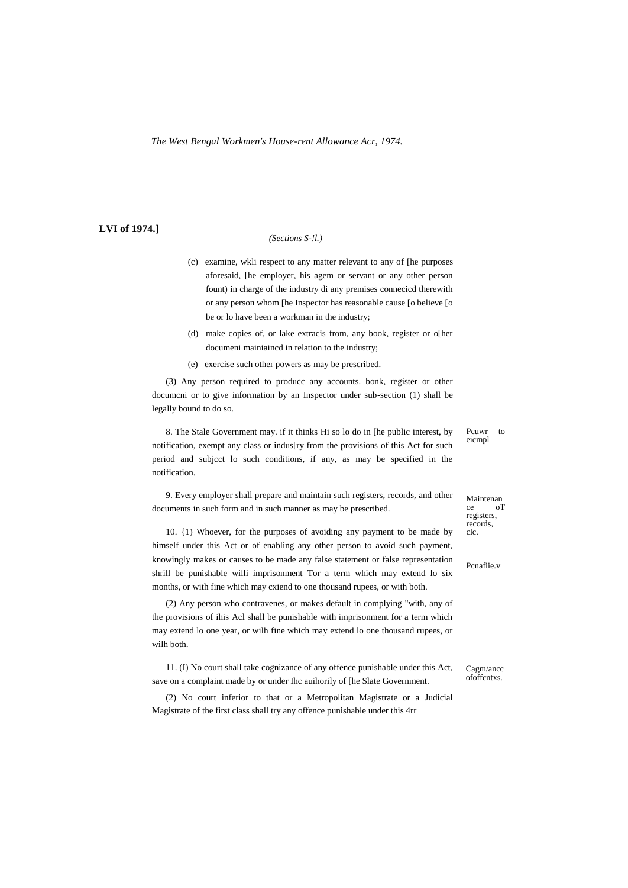*The West Bengal Workmen's House-rent Allowance Acr, 1974.*

### **LVI of 1974.]**

### *(Sections S-!l.)*

- (c) examine, wkli respect to any matter relevant to any of [he purposes aforesaid, [he employer, his agem or servant or any other person fount) in charge of the industry di any premises connecicd therewith or any person whom [he Inspector has reasonable cause [o believe [o be or lo have been a workman in the industry;
- (d) make copies of, or lake extracis from, any book, register or o[her documeni mainiaincd in relation to the industry;
- (e) exercise such other powers as may be prescribed.

(3) Any person required to producc any accounts. bonk, register or other documcni or to give information by an Inspector under sub-section (1) shall be legally bound to do so.

8. The Stale Government may. if it thinks Hi so lo do in [he public interest, by notification, exempt any class or indus[ry from the provisions of this Act for such period and subjcct lo such conditions, if any, as may be specified in the notification.

9. Every employer shall prepare and maintain such registers, records, and other documents in such form and in such manner as may be prescribed.

10. {1) Whoever, for the purposes of avoiding any payment to be made by himself under this Act or of enabling any other person to avoid such payment, knowingly makes or causes to be made any false statement or false representation shrill be punishable willi imprisonment Tor a term which may extend lo six months, or with fine which may cxiend to one thousand rupees, or with both.

(2) Any person who contravenes, or makes default in complying "with, any of the provisions of ihis Acl shall be punishable with imprisonment for a term which may extend lo one year, or wilh fine which may extend lo one thousand rupees, or wilh both.

11. (I) No court shall take cognizance of any offence punishable under this Act, save on a complaint made by or under Ihc auihorily of [he Slate Government.

(2) No court inferior to that or a Metropolitan Magistrate or a Judicial Magistrate of the first class shall try any offence punishable under this 4rr

Pcuwr to eicmpl

Maintenan ce oT registers, records, clc.

Pcnafiie.v

Cagm/ancc ofoffcntxs.